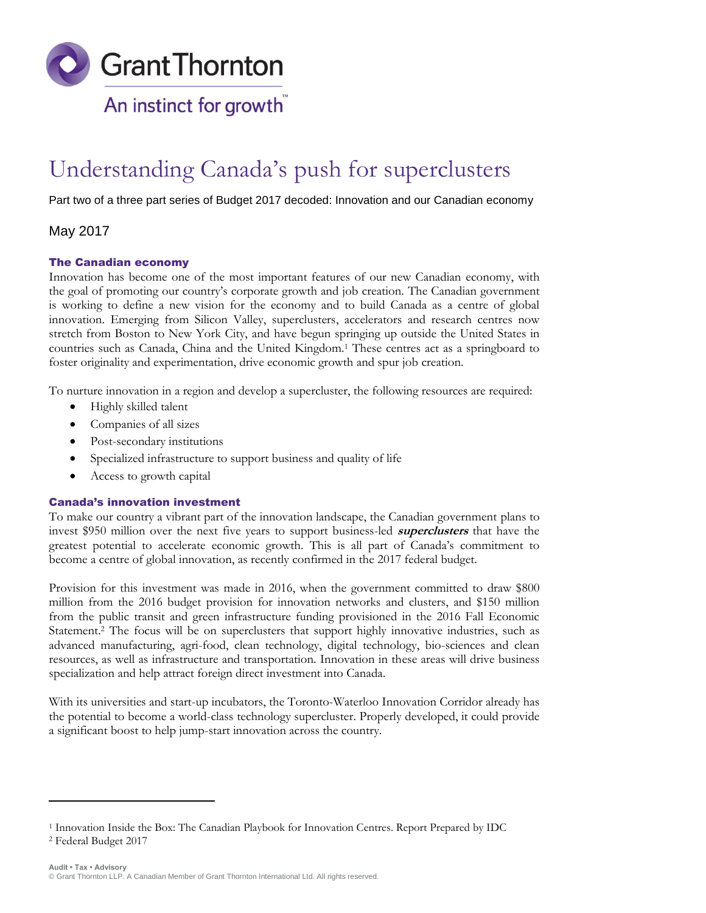

# Understanding Canada's push for superclusters

Part two of a three part series of Budget 2017 decoded: Innovation and our Canadian economy

## May 2017

## The Canadian economy

Innovation has become one of the most important features of our new Canadian economy, with the goal of promoting our country's corporate growth and job creation. The Canadian government is working to define a new vision for the economy and to build Canada as a centre of global innovation. Emerging from Silicon Valley, superclusters, accelerators and research centres now stretch from Boston to New York City, and have begun springing up outside the United States in countries such as Canada, China and the United Kingdom.<sup>1</sup> These centres act as a springboard to foster originality and experimentation, drive economic growth and spur job creation.

To nurture innovation in a region and develop a supercluster, the following resources are required:

- Highly skilled talent
- Companies of all sizes
- Post-secondary institutions
- Specialized infrastructure to support business and quality of life
- Access to growth capital

## Canada's innovation investment

To make our country a vibrant part of the innovation landscape, the Canadian government plans to invest \$950 million over the next five years to support business-led **superclusters** that have the greatest potential to accelerate economic growth. This is all part of Canada's commitment to become a centre of global innovation, as recently confirmed in the 2017 federal budget.

Provision for this investment was made in 2016, when the government committed to draw \$800 million from the 2016 budget provision for innovation networks and clusters, and \$150 million from the public transit and green infrastructure funding provisioned in the 2016 Fall Economic Statement.<sup>2</sup> The focus will be on superclusters that support highly innovative industries, such as advanced manufacturing, agri-food, clean technology, digital technology, bio-sciences and clean resources, as well as infrastructure and transportation. Innovation in these areas will drive business specialization and help attract foreign direct investment into Canada.

With its universities and start-up incubators, the Toronto-Waterloo Innovation Corridor already has the potential to become a world-class technology supercluster. Properly developed, it could provide a significant boost to help jump-start innovation across the country.

 $\overline{a}$ 

<sup>1</sup> Innovation Inside the Box: The Canadian Playbook for Innovation Centres. Report Prepared by IDC

<sup>2</sup> Federal Budget 2017